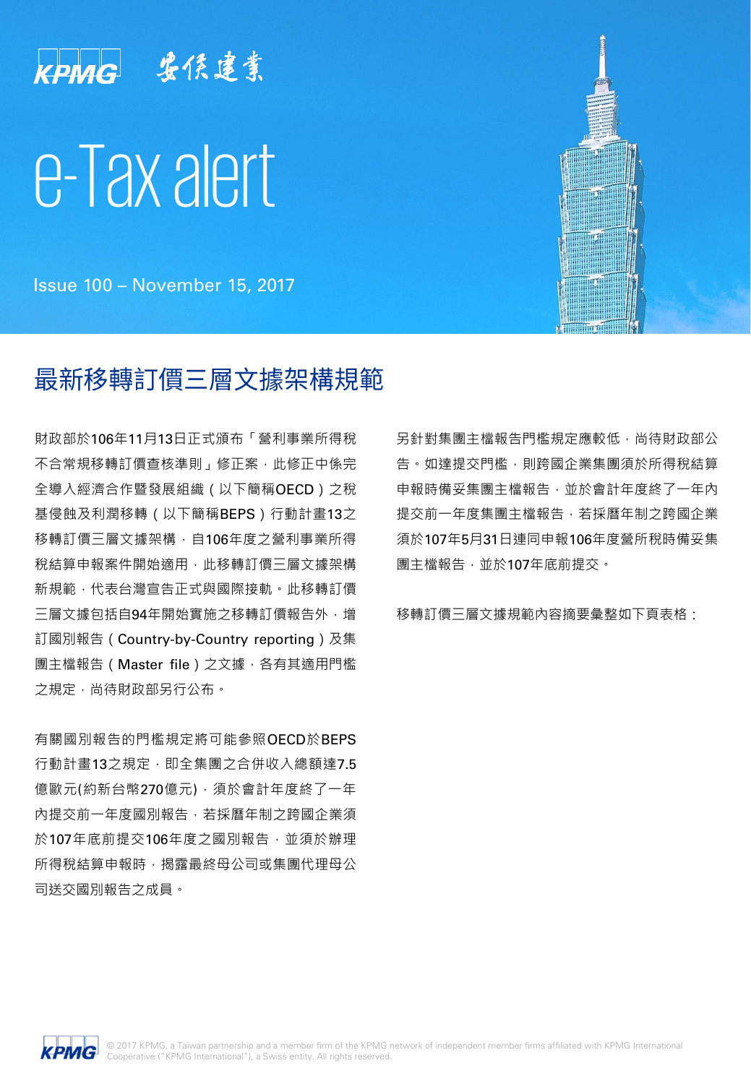

Issue 100 – November 15, 2017

# 最新移轉訂價三層文據架構規範

財政部於106年11月13日正式頒布「營利事業所得稅 不合常規移轉訂價查核準則」修正案,此修正中係完 全導入經濟合作暨發展組織(以下簡稱OECD)之稅 基侵蝕及利潤移轉(以下簡稱BEPS)行動計畫13之 移轉訂價三層文據架構,自106年度之營利事業所得 稅結算申報案件開始滴用,此移轉訂價三層文據架構 新規範,代表台灣宣告正式與國際接軌。此移轉訂價 三層文據包括自94年開始實施之移轉訂價報告外,增 訂國別報告(Country-by-Country reporting)及集 團主檔報告(Master file)之文據,各有其適用門檻 之規定,尚待財政部另行公布。

有關國別報告的門檻規定將可能參照OECD於BEPS 行動計畫13之規定,即全集團之合併收入總額達7.5 億歐元(約新台幣270億元),須於會計年度終了一年 內提交前一年度國別報告,若採曆年制之跨國企業須 於107年底前提交106年度之國別報告,並須於辦理 所得稅結算申報時,揭露最終母公司或集團代理母公 司送交國別報告之成員。

另針對集團主檔報告門檻規定應較低,尚待財政部公 告。如達提交門檻,則跨國企業集團須於所得稅結算 申報時備妥集團主檔報告,並於會計年度終了一年內 提交前一年度集團主檔報告,若採曆年制之跨國企業 須於107年5月31日連同申報106年度營所稅時備妥集 團主檔報告,並於107年底前提交。

移轉訂價三層文據規範內容摘要彙整如下頁表格:

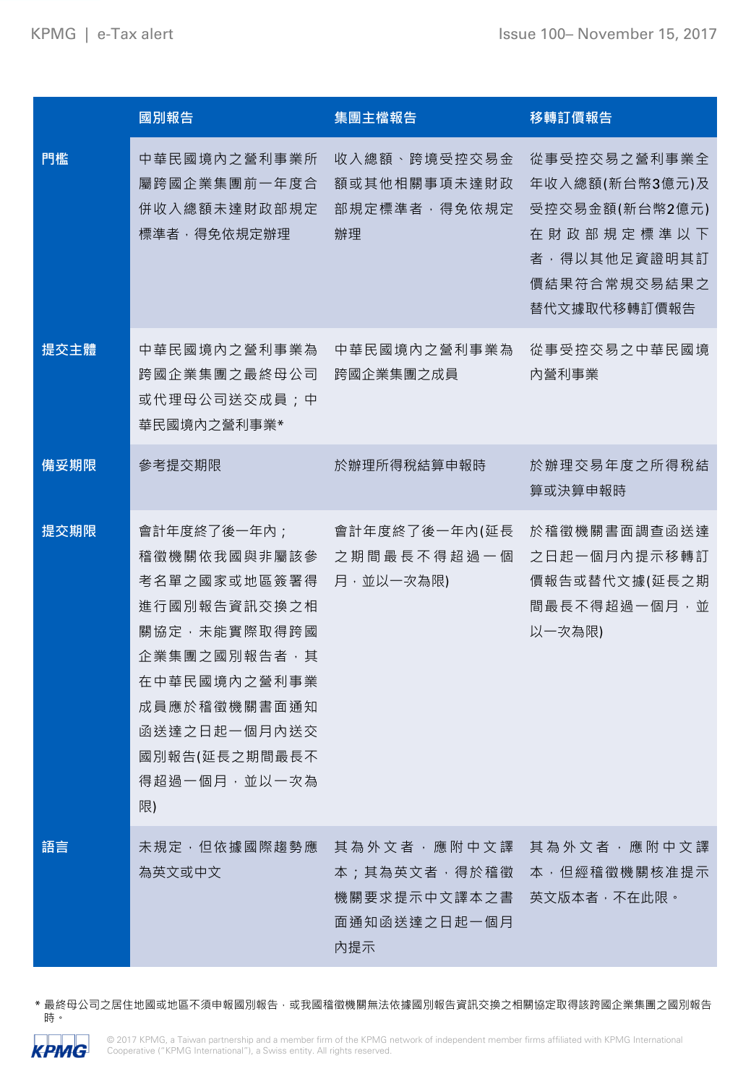|      | 國別報告                                                                                                                                                                               | 集團主檔報告                                                                       | 移轉訂價報告                                                                                                         |
|------|------------------------------------------------------------------------------------------------------------------------------------------------------------------------------------|------------------------------------------------------------------------------|----------------------------------------------------------------------------------------------------------------|
| 門檻   | 中華民國境內之營利事業所<br>屬跨國企業集團前一年度合<br>併收入總額未達財政部規定<br>標準者,得免依規定辦理                                                                                                                        | 收入總額、跨境受控交易金<br>額或其他相關事項未達財政<br>部規定標準者,得免依規定<br>辦理                           | 從事受控交易之營利事業全<br>年收入總額(新台幣3億元)及<br>受控交易金額(新台幣2億元)<br>在財政部規定標準以下<br>者,得以其他足資證明其訂<br>價結果符合常規交易結果之<br>替代文據取代移轉訂價報告 |
| 提交主體 | 中華民國境內之營利事業為<br>跨國企業集團之最終母公司<br>或代理母公司送交成員;中<br>華民國境內之營利事業*                                                                                                                        | 中華民國境內之營利事業為<br>跨國企業集團之成員                                                    | 從事受控交易之中華民國境<br>内營利事業                                                                                          |
| 備妥期限 | 參考提交期限                                                                                                                                                                             | 於辦理所得稅結算申報時                                                                  | 於辦理交易年度之所得稅結<br>算或決算申報時                                                                                        |
| 提交期限 | 會計年度終了後一年內;<br>稽徵機關依我國與非屬該參<br>考名單之國家或地區簽署得<br>進行國別報告資訊交換之相<br>關協定,未能實際取得跨國<br>企業集團之國別報告者,其<br>在中華民國境內之營利事業<br>成員應於稽徵機關書面通知<br>函送達之日起一個月內送交<br>國別報告(延長之期間最長不<br>得超過一個月,並以一次為<br>限) | 會計年度終了後一年內(延長<br>之期間最長不得超過一個<br>月,並以一次為限)                                    | 於稽徵機關書面調查函送達<br>之日起一個月內提示移轉訂<br>價報告或替代文據(延長之期<br>間最長不得超過一個月,並<br>以一次為限)                                        |
| 語言   | 未規定, 但依據國際趨勢應<br>為英文或中文                                                                                                                                                            | 其 為 外 文 者 , 應 附 中 文 譯<br>本;其為英文者,得於稽徵<br>機關要求提示中文譯本之書<br>面通知函送達之日起一個月<br>内提示 | 其 為 外 文 者 , 應 附 中 文 譯<br>本 ,但經稽徵機關核准提示<br>英文版本者,不在此限。                                                          |

\* 最終母公司之居住地國或地區不須申報國別報告,或我國稽徵機關無法依據國別報告資訊交換之相關協定取得該跨國企業集團之國別報告 時。

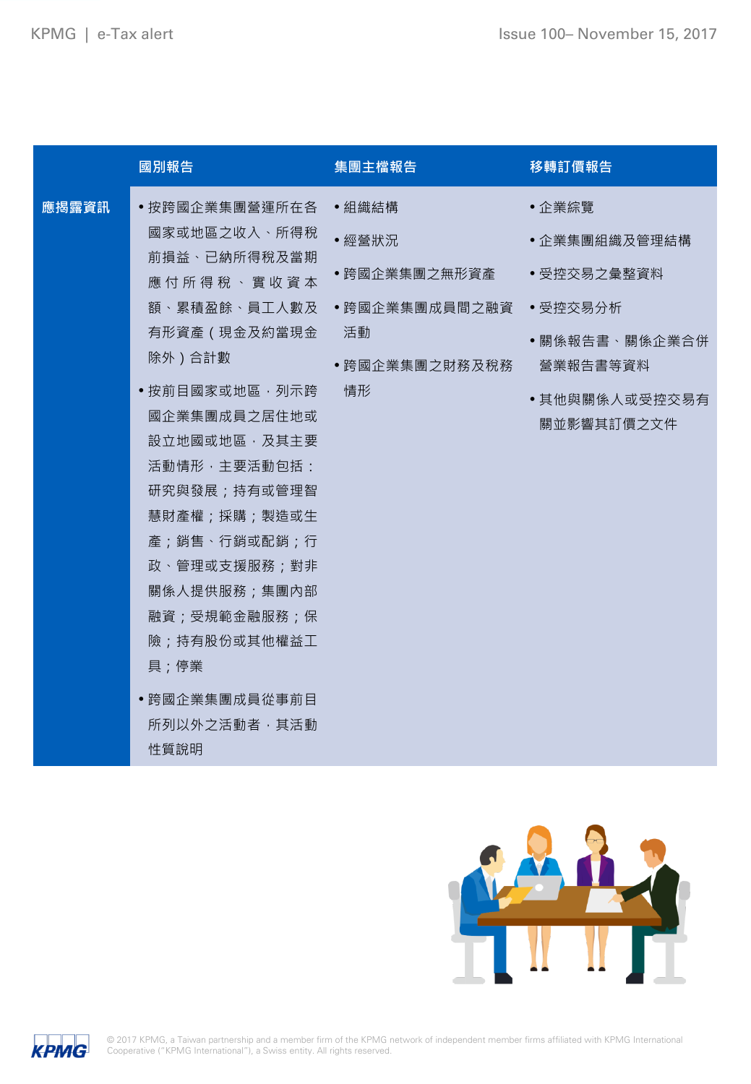| 應揭露資訊<br>•按跨國企業集團營運所在各 •組織結構<br>•企業綜覽<br>國家或地區之收入、所得稅<br>•經營狀況<br>•企業集團組織及管理結構<br>前損益、已納所得稅及當期<br>• 跨國企業集團之無形資產 …<br>• 受控交易之彙整資料<br>應付所得稅、實收資本<br>額、累積盈餘、員工人數及 •跨國企業集團成員間之融資<br>• 受控交易分析<br>有形資產(現金及約當現金<br>活動<br>•關係報告書、關係企業合併<br>除外)合計數<br>•跨國企業集團之財務及稅務<br>營業報告書等資料<br>• 按前目國家或地區, 列示跨<br>情形<br>•其他與關係人或受控交易有<br>國企業集團成員之居住地或<br>關並影響其訂價之文件<br>設立地國或地區,及其主要<br>活動情形,主要活動包括:<br>研究與發展;持有或管理智<br>慧財產權;採購;製造或生<br>產;銷售、行銷或配銷;行<br>政、管理或支援服務;對非<br>關係人提供服務;集團內部<br>融資;受規範金融服務;保<br>險;持有股份或其他權益工<br>具;停業 |
|--------------------------------------------------------------------------------------------------------------------------------------------------------------------------------------------------------------------------------------------------------------------------------------------------------------------------------------------------------------------------------------------------------------------------------------------------------------------------------------------------------|
| • 跨國企業集團成員從事前目<br>所列以外之活動者, 其活動<br>性質說明                                                                                                                                                                                                                                                                                                                                                                                                                                                                |



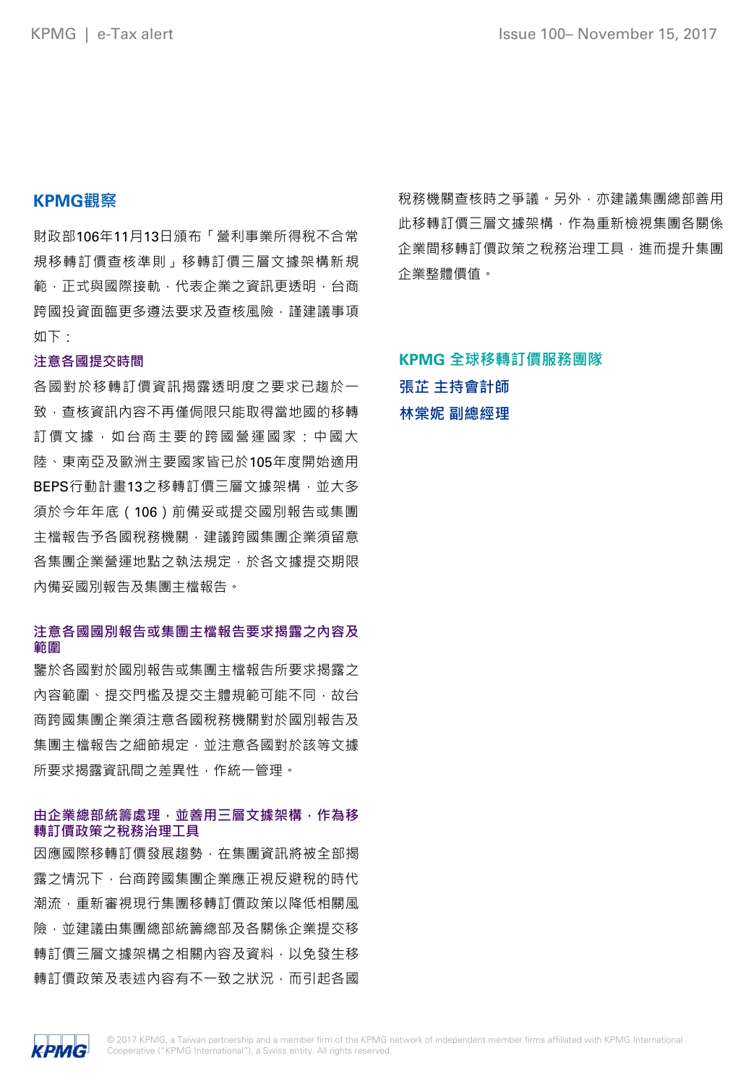## **KPMG觀察**

財政部106年11月13日頒布「營利事業所得稅不合常 規移轉訂價查核準則」移轉訂價三層文據架構新規 範,正式與國際接軌,代表企業之資訊更透明,台商 跨國投資面臨更多遵法要求及查核風險,謹建議事項 如下:

#### **注意各國提交時間**

各國對於移轉訂價資訊揭露透明度之要求已趨於一 致,查核資訊內容不再僅侷限只能取得當地國的移轉 訂價文據,如台商主要的跨國營運國家:中國大 陸、東南亞及歐洲主要國家皆已於105年度開始適用 BEPS行動計畫13之移轉訂價三層文據架構,並大多 須於今年年底(106)前備妥或提交國別報告或集團 主檔報告予各國稅務機關,建議跨國集團企業須留意 各集團企業營運地點之執法規定,於各文據提交期限 內備妥國別報告及集團主檔報告。

## **注意各國國別報告或集團主檔報告要求揭露之內容及 範圍**

鑒於各國對於國別報告或集團主檔報告所要求揭露之 內容範圍、提交門檻及提交主體規範可能不同,故台 商跨國集團企業須注意各國稅務機關對於國別報告及 集團主檔報告之細節規定,並注意各國對於該等文據 所要求揭露資訊間之差異性,作統一管理。

#### **由企業總部統籌處理,並善用三層文據架構,作為移 轉訂價政策之稅務治理工具**

因應國際移轉訂價發展趨勢,在集團資訊將被全部揭 露之情況下,台商跨國集團企業應正視反避稅的時代 潮流,重新審視現行集團移轉訂價政策以降低相關風 險,並建議由集團總部統籌總部及各關係企業提交移 轉訂價三層文據架構之相關內容及資料,以免發生移 轉訂價政策及表述內容有不一致之狀況,而引起各國

稅務機關查核時之爭議。另外,亦建議集團總部善用 此移轉訂價三層文據架構,作為重新檢視集團各關係 企業間移轉訂價政策之稅務治理工具,進而提升集團 企業整體價值。

# **KPMG 全球移轉訂價服務團隊 張芷 主持會計師 林棠妮 副總經理**